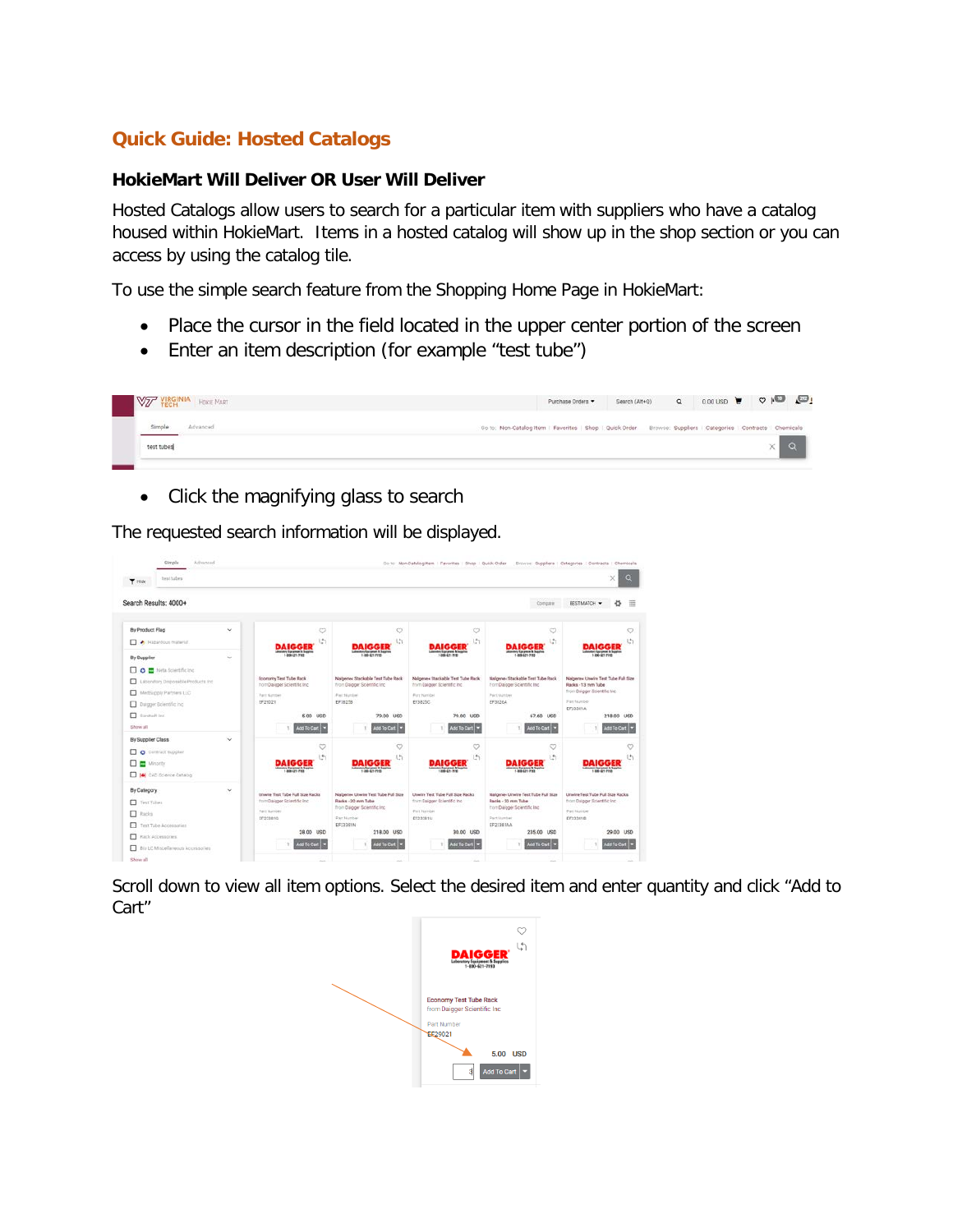## **Quick Guide: Hosted Catalogs**

## **HokieMart Will Deliver OR User Will Deliver**

Hosted Catalogs allow users to search for a particular item with suppliers who have a catalog housed within HokieMart. Items in a hosted catalog will show up in the shop section or you can access by using the catalog tile.

To use the simple search feature from the Shopping Home Page in HokieMart:

- Place the cursor in the field located in the upper center portion of the screen
- Enter an item description (for example "test tube")



• Click the magnifying glass to search

The requested search information will be displayed.

| test tubes<br><b>T</b> Hide                |             |                                                        |                                                                   | Op to: Non-Catalogitem   Favorites   Shop   Quick Order           |                                                                   | Browse: Suppliera   Categories   Contracts   Chemicals<br>× |
|--------------------------------------------|-------------|--------------------------------------------------------|-------------------------------------------------------------------|-------------------------------------------------------------------|-------------------------------------------------------------------|-------------------------------------------------------------|
| Search Results: 4000+                      |             |                                                        |                                                                   |                                                                   | Compare                                                           | <b>BESTMATCH .</b><br>畐                                     |
| By Product Flag                            | $\check{~}$ | O                                                      | Ó                                                                 | 9                                                                 | $\heartsuit$                                                      | O                                                           |
| A Hazardous material<br><b>By Supplier</b> | $\sim$      | $\binom{4}{2}$<br>mrs Spranker & Septim<br>140-4217143 | Lt.<br><b>Termed &amp; Search</b><br>1.49-61-7113                 | l.h<br><b>Inc Toronton &amp; Seaton</b><br>1406421-7153           | U.<br>to's function & hearing<br>1.88.4217193                     | th<br><b>Informer &amp; Suprim</b><br>1.800-821-7143        |
| O <b>D</b> Neta Scientific Inc.            |             |                                                        |                                                                   |                                                                   |                                                                   |                                                             |
| Laboratory Droposable Products Inc.        |             | Economy Test Tube Rack<br>from Daleger Scientific Inc. | Natpener Stackable Test Tube Rack<br>from Daigger Scientific Inc. | Nalgene« Stackable Test Tube Rack<br>from Dalgaer Scientific Inc. | Naigener Stackable Test Tube Rack<br>Forn Daigger Scientific Inc. | Nabenes Unwire Test Tube Full Size<br>Racks - 13 mm Tube    |
| Mediucoly Partners LLC                     |             | Part Number                                            | Fact Harder                                                       | <b>Parchiardae</b>                                                | Partitiustes                                                      | from Daigger Scientific the                                 |
| D Daigper Bolentific Inc.                  |             | EF25021                                                | EP1827B                                                           | EF3825C                                                           | EF38264                                                           | Partitionbe<br>EF22381A                                     |
| <sup>1</sup> tarded inc.                   |             | 5.00 UGD                                               | 79.00 USD                                                         | 79.00 USD                                                         | 67.60 USD                                                         | 218.00 USD                                                  |
| Show all                                   |             | Add To Cart                                            | Add To Cart                                                       | Add To Cart                                                       | Add To Cart                                                       | Add To Cart                                                 |
| By Supplier Class                          | $\sim$      |                                                        |                                                                   |                                                                   |                                                                   |                                                             |
| □<br>Contract Gupplan<br>$\circ$           |             | $\circ$                                                | $\circ$                                                           | G                                                                 | ø                                                                 | C                                                           |
| □ ≕<br>Minority                            |             | ١<br>sence Recrease: N Septim                          | U<br>en/torana i huarra                                           | G<br>on facuses & Juantee                                         | 团<br>AIGGE                                                        | U<br>color: Escrator & Stability                            |
| □<br>[4] CAD Goence Catalog                |             | 1.89.471.7143                                          | 1.88.61.710                                                       | and gry year.                                                     | <b>Mary Earlanean &amp; Sepplies</b>                              | 188-91-710                                                  |
| By Category                                | $\check{~}$ | Unwire Test Tube Full Size Racks                       | Nalgene« Unwire Test Tube Full Size                               | Unwire Test Tube Full Size Racks                                  | Nalgener Unwire Test Tube Full Size                               | Unvire Test Tube Full Size Racks                            |
| Test Tubes                                 |             | from Daigger Scientific Inc.                           | Racks - 20 mm Tube                                                | from Daigger Scientific Inc.                                      | Racks - 30 mm Tube                                                | from Daigger Scientific Inc.                                |
| $\Box$ Racks                               |             | Part Nations<br>EF233010                               | from Daigger Scientific Inc.<br>Part Number                       | <b>Part Number</b><br>EF23381U                                    | fori Daigger Scientific Inc.<br>Part lounder                      | <b>Fait faundai</b><br>EF23361B                             |
| □<br>Test Tube Accessories                 |             |                                                        | EF22391N                                                          |                                                                   | EF223EIAA                                                         |                                                             |
| Rack Accessories                           |             | 28.00 USD                                              | 218.00 USD                                                        | 30.00 USD                                                         | 235.00 USD                                                        | 29.00 USD                                                   |
| □<br>Bio LC Miscellareous Accessories      |             | Mdd To Cart                                            | Add To Cart                                                       | Add To Cart                                                       | Mid To Cart                                                       | Add To Cart                                                 |
| Show all                                   |             | $\sim$                                                 | <b>START</b>                                                      | -                                                                 | <b>COLOR</b>                                                      |                                                             |

Scroll down to view all item options. Select the desired item and enter quantity and click "Add to Cart"

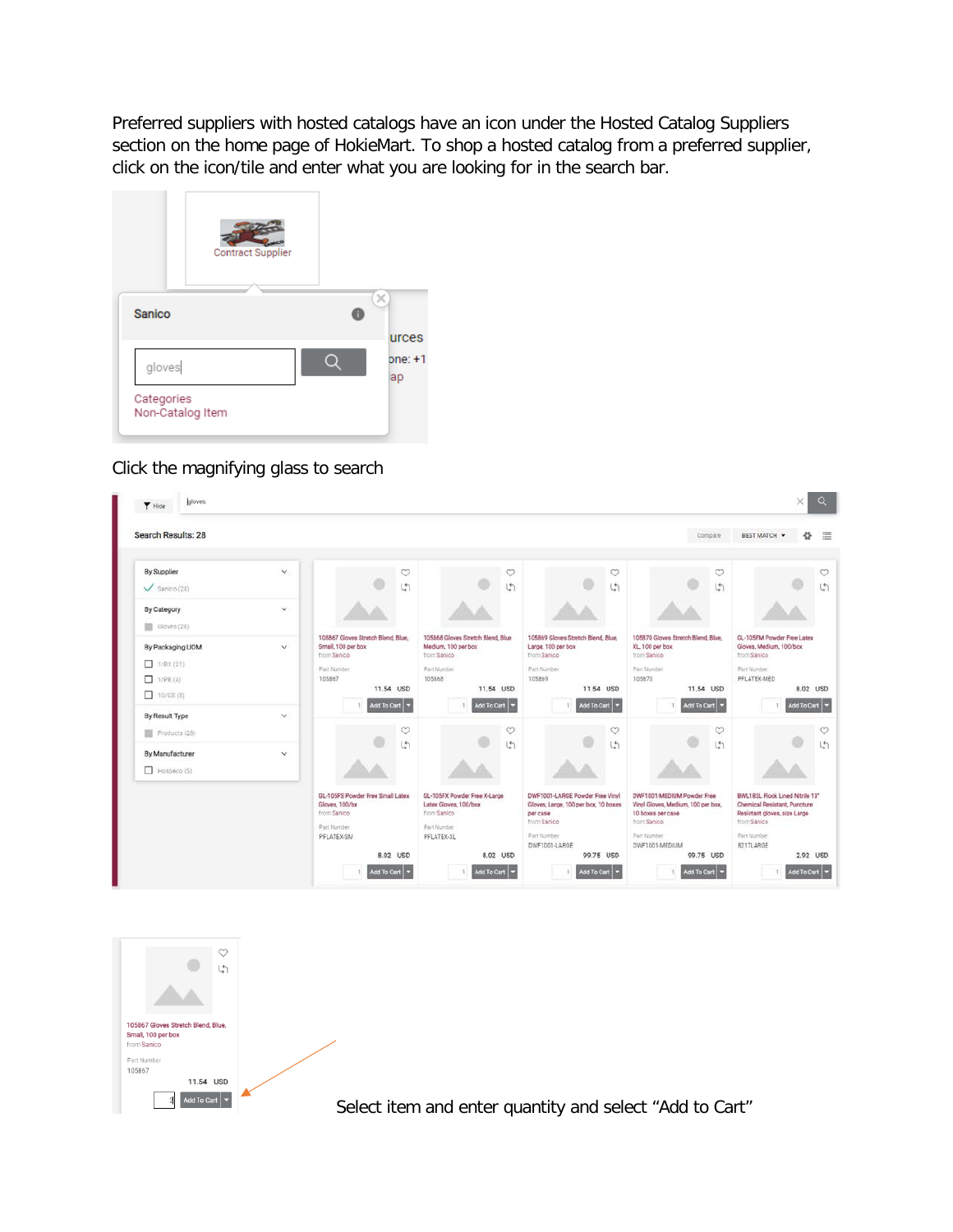Preferred suppliers with hosted catalogs have an icon under the Hosted Catalog Suppliers section on the home page of HokieMart. To shop a hosted catalog from a preferred supplier, click on the icon/tile and enter what you are looking for in the search bar.



## Click the magnifying glass to search

| Search Results: 28                                        |               |                                                                                                                              |                                                                                                               |                                                                                                                                    | Compare                                                                                                                                            | 這<br>春<br><b>BEST MATCH W</b>                                                                                                                          |
|-----------------------------------------------------------|---------------|------------------------------------------------------------------------------------------------------------------------------|---------------------------------------------------------------------------------------------------------------|------------------------------------------------------------------------------------------------------------------------------------|----------------------------------------------------------------------------------------------------------------------------------------------------|--------------------------------------------------------------------------------------------------------------------------------------------------------|
| By Supplier                                               | $\checkmark$  | $\circ$                                                                                                                      | $\circ$                                                                                                       | $\circ$                                                                                                                            | $\circ$                                                                                                                                            | ♡                                                                                                                                                      |
| $\checkmark$ Sanico (28)                                  |               | $\binom{1}{2}$                                                                                                               | $\binom{4}{2}$                                                                                                | $\mathfrak{t}_1^*$                                                                                                                 | (5)                                                                                                                                                | $\binom{4}{1}$                                                                                                                                         |
| By Category<br>Gloves (28)                                | $\checkmark$  |                                                                                                                              |                                                                                                               |                                                                                                                                    |                                                                                                                                                    |                                                                                                                                                        |
| By Packaging UOM<br>1/8X(21)<br>□<br>1/PR (4)<br>10/CS(3) | $\checkmark$  | 105867 Gloves Stretch Blend, Blue,<br>Small, 100 per box<br>from Sanico<br>Part Number<br>105867<br>11.54 USD<br>Add To Cart | 105868 Gloves Stretch Blend, Blue<br>Medium, 100 per box<br>from Sanico<br>Part Number<br>105868<br>11.54 USD | 105869 Gloves Stretch Blend, Blue,<br>Large, 100 per box<br>from Sanico<br>Part Number<br>105869<br>11.54 USD<br>Add To Cart       | 105870 Gloves Stretch Blend, Blue,<br>XL 100 per box<br>from Sanico<br>Part Number<br>105870<br>11.54 USD                                          | GL-105FM Powder Free Latex<br>Gloves, Medium, 100/box<br>from Sanico<br>Part Number<br>PFLATEX-MED<br>8.02 USD<br>Add To Cart                          |
| By Result Type<br>Products (28)                           | $\mathcal{L}$ | $\circ$                                                                                                                      | Add To Cart<br>$\circ$                                                                                        | Ö                                                                                                                                  | Add To Cart<br>$\circ$                                                                                                                             |                                                                                                                                                        |
| By Manufacturer<br>Hoseco(5)                              | $\checkmark$  | $\sqrt{2}$                                                                                                                   | $\binom{4}{1}$                                                                                                | $\ddot{ }$                                                                                                                         | $\binom{1}{2}$                                                                                                                                     |                                                                                                                                                        |
|                                                           |               | GL-105FS Powder Free Small Latex<br>Gloves, 100/bx<br>from Sanico<br>Part Number<br>PFLATEX-SM<br>8.02 USD                   | GL-105FX Powder Free X-Large<br>Latex Gloves, 100/box<br>from Sanico<br><b>Part Number</b><br>PFLATEX-XL      | DWF1001-LARGE Powder Free Vinyl<br>Gloves, Large, 100 per box, 10 boxes<br>per case<br>from Sanico<br>Part Number<br>DWF1001-LARGE | DWF1001-MEDIUM Powder Free<br>Vinyl Gloves, Medium, 100 per box,<br>10 boxes per case<br>from Sanico<br>Part Number<br>DWF1001-MEDIUM<br>99.75 USD | BWL183L Flock Lined Nitrile 13"<br>Chemical Resistant, Puncture<br>Resistant gloves, size Large<br>from Sanico<br>Part Number<br>8217LARGE<br>2.92 USD |